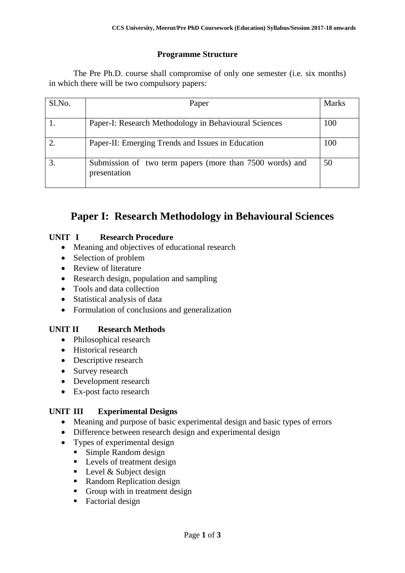# **Programme Structure**

The Pre Ph.D. course shall compromise of only one semester (i.e. six months) in which there will be two compulsory papers:

| $S1$ . No. | Paper                                                                    | <b>Marks</b> |
|------------|--------------------------------------------------------------------------|--------------|
|            | Paper-I: Research Methodology in Behavioural Sciences                    | 100          |
|            | Paper-II: Emerging Trends and Issues in Education                        | 100          |
|            | Submission of two term papers (more than 7500 words) and<br>presentation | 50           |

# **Paper I: Research Methodology in Behavioural Sciences**

#### **UNIT I Research Procedure**

- Meaning and objectives of educational research
- Selection of problem
- Review of literature
- Research design, population and sampling
- Tools and data collection
- Statistical analysis of data
- Formulation of conclusions and generalization

## **UNIT II Research Methods**

- Philosophical research
- Historical research
- Descriptive research
- Survey research
- Development research
- Ex-post facto research

## **UNIT III Experimental Designs**

- Meaning and purpose of basic experimental design and basic types of errors
- Difference between research design and experimental design
- Types of experimental design
	- Simple Random design
	- **Levels of treatment design**
	- $\blacksquare$  Level & Subject design
	- Random Replication design
	- Group with in treatment design
	- Factorial design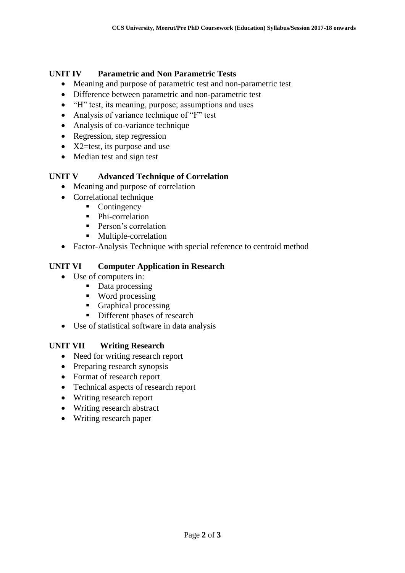### **UNIT IV Parametric and Non Parametric Tests**

- Meaning and purpose of parametric test and non-parametric test
- Difference between parametric and non-parametric test
- "H" test, its meaning, purpose; assumptions and uses
- Analysis of variance technique of "F" test
- Analysis of co-variance technique
- Regression, step regression
- $\bullet$  X2=test, its purpose and use
- Median test and sign test

#### **UNIT V Advanced Technique of Correlation**

- Meaning and purpose of correlation
- Correlational technique
	- Contingency
	- Phi-correlation
	- **Person's correlation**
	- **Multiple-correlation**
- Factor-Analysis Technique with special reference to centroid method

#### **UNIT VI Computer Application in Research**

- Use of computers in:
	- Data processing
	- Word processing
	- Graphical processing
	- **Different phases of research**
- Use of statistical software in data analysis

#### **UNIT VII Writing Research**

- Need for writing research report
- Preparing research synopsis
- Format of research report
- Technical aspects of research report
- Writing research report
- Writing research abstract
- Writing research paper